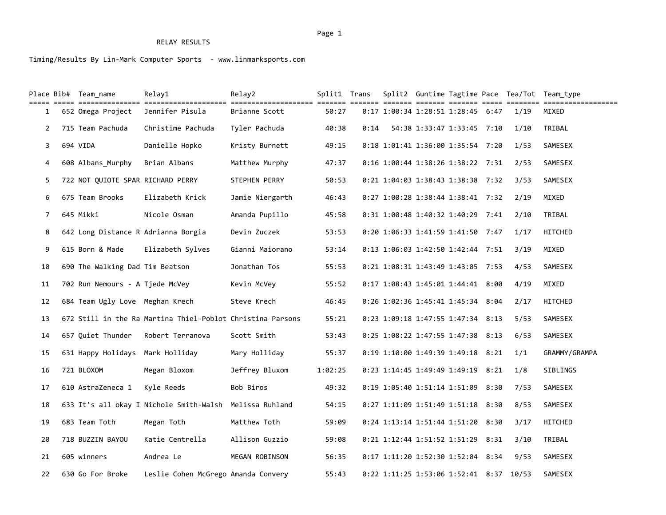# RELAY RESULTS

Timing/Results By Lin-Mark Computer Sports - www.linmarksports.com

|                | Place Bib#  Team name             | Relay1                                                                                                                            | Relav2               | Split1 Trans |      |                                     |  |       | Split2 Guntime Tagtime Pace Tea/Tot Team type |
|----------------|-----------------------------------|-----------------------------------------------------------------------------------------------------------------------------------|----------------------|--------------|------|-------------------------------------|--|-------|-----------------------------------------------|
| $\mathbf{1}$   | 652 Omega Project                 | tili 1999 ilitiliiliiti 1999-1999-1999-1999 tilitiliiliiliitili 1999- 1999- (1999- 1999- 1999- 1999- 1999- 199<br>Jennifer Pisula | Brianne Scott        | 50:27        |      | $0:17$ 1:00:34 1:28:51 1:28:45 6:47 |  | 1/19  | ============<br>MIXED                         |
| $\overline{2}$ | 715 Team Pachuda                  | Christime Pachuda                                                                                                                 | Tyler Pachuda        | 40:38        | 0:14 | 54:38 1:33:47 1:33:45 7:10          |  | 1/10  | TRIBAL                                        |
| 3              | 694 VIDA                          | Danielle Hopko                                                                                                                    | Kristy Burnett       | 49:15        |      | 0:18 1:01:41 1:36:00 1:35:54 7:20   |  | 1/53  | SAMESEX                                       |
| 4              | 608 Albans_Murphy                 | Brian Albans                                                                                                                      | Matthew Murphy       | 47:37        |      | 0:16 1:00:44 1:38:26 1:38:22 7:31   |  | 2/53  | SAMESEX                                       |
| 5              | 722 NOT OUIOTE SPAR RICHARD PERRY |                                                                                                                                   | <b>STEPHEN PERRY</b> | 50:53        |      | 0:21 1:04:03 1:38:43 1:38:38 7:32   |  | 3/53  | SAMESEX                                       |
| 6              | 675 Team Brooks                   | Elizabeth Krick                                                                                                                   | Jamie Niergarth      | 46:43        |      | 0:27 1:00:28 1:38:44 1:38:41 7:32   |  | 2/19  | MIXED                                         |
| 7              | 645 Mikki                         | Nicole Osman                                                                                                                      | Amanda Pupillo       | 45:58        |      | 0:31 1:00:48 1:40:32 1:40:29 7:41   |  | 2/10  | TRIBAL                                        |
| 8              |                                   | 642 Long Distance R Adrianna Borgia                                                                                               | Devin Zuczek         | 53:53        |      | 0:20 1:06:33 1:41:59 1:41:50 7:47   |  | 1/17  | HITCHED                                       |
| 9              | 615 Born & Made                   | Elizabeth Sylves                                                                                                                  | Gianni Maiorano      | 53:14        |      | 0:13 1:06:03 1:42:50 1:42:44 7:51   |  | 3/19  | MIXED                                         |
| 10             | 690 The Walking Dad Tim Beatson   |                                                                                                                                   | Jonathan Tos         | 55:53        |      | 0:21 1:08:31 1:43:49 1:43:05 7:53   |  | 4/53  | SAMESEX                                       |
| 11             | 702 Run Nemours - A Tjede McVey   |                                                                                                                                   | Kevin McVey          | 55:52        |      | 0:17 1:08:43 1:45:01 1:44:41 8:00   |  | 4/19  | MIXED                                         |
| 12             | 684 Team Ugly Love Meghan Krech   |                                                                                                                                   | Steve Krech          | 46:45        |      | 0:26 1:02:36 1:45:41 1:45:34 8:04   |  | 2/17  | HITCHED                                       |
| 13             |                                   | 672 Still in the Ra Martina Thiel-Poblot Christina Parsons                                                                        |                      | 55:21        |      | 0:23 1:09:18 1:47:55 1:47:34 8:13   |  | 5/53  | SAMESEX                                       |
| 14             | 657 Quiet Thunder                 | Robert Terranova                                                                                                                  | Scott Smith          | 53:43        |      | 0:25 1:08:22 1:47:55 1:47:38 8:13   |  | 6/53  | SAMESEX                                       |
| 15             | 631 Happy Holidays Mark Holliday  |                                                                                                                                   | Mary Holliday        | 55:37        |      | 0:19 1:10:00 1:49:39 1:49:18 8:21   |  | 1/1   | GRAMMY/GRAMPA                                 |
| 16             | 721 BLOXOM                        | Megan Bloxom                                                                                                                      | Jeffrey Bluxom       | 1:02:25      |      | 0:23 1:14:45 1:49:49 1:49:19 8:21   |  | 1/8   | SIBLINGS                                      |
| 17             | 610 AstraZeneca 1                 | Kyle Reeds                                                                                                                        | Bob Biros            | 49:32        |      | 0:19 1:05:40 1:51:14 1:51:09 8:30   |  | 7/53  | SAMESEX                                       |
| 18             |                                   | 633 It's all okay I Nichole Smith-Walsh Melissa Ruhland                                                                           |                      | 54:15        |      | 0:27 1:11:09 1:51:49 1:51:18 8:30   |  | 8/53  | SAMESEX                                       |
| 19             | 683 Team Toth                     | Megan Toth                                                                                                                        | Matthew Toth         | 59:09        |      | 0:24 1:13:14 1:51:44 1:51:20 8:30   |  | 3/17  | HITCHED                                       |
| 20             | 718 BUZZIN BAYOU                  | Katie Centrella                                                                                                                   | Allison Guzzio       | 59:08        |      | 0:21 1:12:44 1:51:52 1:51:29 8:31   |  | 3/10  | TRIBAL                                        |
| 21             | 605 winners                       | Andrea Le                                                                                                                         | MEGAN ROBINSON       | 56:35        |      | 0:17 1:11:20 1:52:30 1:52:04 8:34   |  | 9/53  | SAMESEX                                       |
| 22             | 630 Go For Broke                  | Leslie Cohen McGrego Amanda Convery                                                                                               |                      | 55:43        |      | 0:22 1:11:25 1:53:06 1:52:41 8:37   |  | 10/53 | SAMESEX                                       |

#### Page 1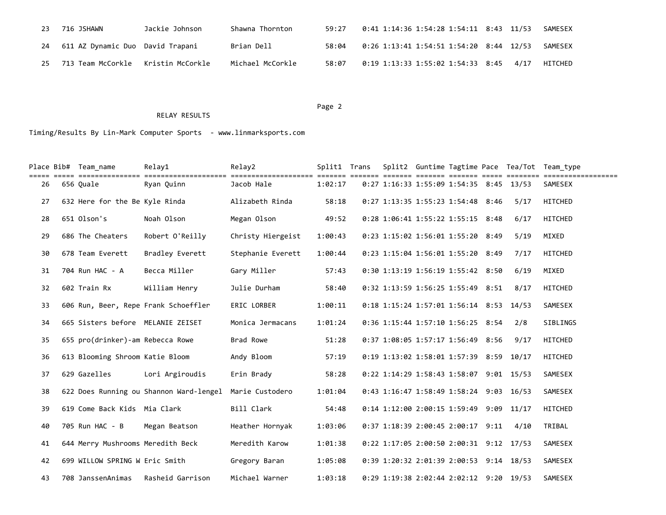| 23  | 716 JSHAWN                           | Jackie Johnson | Shawna Thornton  | 59:27 | 0:41 1:14:36 1:54:28 1:54:11 8:43 11/53 |  | SAMESEX |
|-----|--------------------------------------|----------------|------------------|-------|-----------------------------------------|--|---------|
|     | 611 AZ Dynamic Duo  David Trapani    |                | Brian Dell       | 58:04 | 0:26 1:13:41 1:54:51 1:54:20 8:44 12/53 |  | SAMESEX |
| 25. | 713 Team McCorkle   Kristin McCorkle |                | Michael McCorkle | 58:07 | 0:19 1:13:33 1:55:02 1:54:33 8:45 4/17  |  | HITCHED |

### Page 2 and 2 and 2 and 2 and 2 and 2 and 2 and 2 and 2 and 2 and 2 and 2 and 2 and 2 and 2 and 2 and 2 and 2

## RELAY RESULTS

Timing/Results By Lin-Mark Computer Sports - www.linmarksports.com

|    | Place Bib# Team name<br>=================== | Relay1                                  | Relay2            | Split1 Trans |  |                                           |      | Split2 Guntime Tagtime Pace Tea/Tot Team type |
|----|---------------------------------------------|-----------------------------------------|-------------------|--------------|--|-------------------------------------------|------|-----------------------------------------------|
| 26 | 656 Ouale                                   | =============<br>Ryan Ouinn             | Jacob Hale        | 1:02:17      |  | $0:27$ 1:16:33 1:55:09 1:54:35 8:45 13/53 |      | SAMESEX                                       |
| 27 | 632 Here for the Be Kyle Rinda              |                                         | Alizabeth Rinda   | 58:18        |  | 0:27 1:13:35 1:55:23 1:54:48 8:46         | 5/17 | <b>HITCHED</b>                                |
| 28 | 651 Olson's                                 | Noah Olson                              | Megan Olson       | 49:52        |  | $0:28$ 1:06:41 1:55:22 1:55:15 8:48       | 6/17 | HITCHED                                       |
| 29 | 686 The Cheaters                            | Robert O'Reilly                         | Christy Hiergeist | 1:00:43      |  | 0:23 1:15:02 1:56:01 1:55:20 8:49         | 5/19 | MIXED                                         |
| 30 | 678 Team Everett                            | Bradley Everett                         | Stephanie Everett | 1:00:44      |  | 0:23 1:15:04 1:56:01 1:55:20 8:49         | 7/17 | <b>HITCHED</b>                                |
| 31 | 704 Run HAC - A                             | Becca Miller                            | Gary Miller       | 57:43        |  | 0:30 1:13:19 1:56:19 1:55:42 8:50         | 6/19 | MIXED                                         |
| 32 | 602 Train Rx                                | William Henry                           | Julie Durham      | 58:40        |  | 0:32 1:13:59 1:56:25 1:55:49 8:51         | 8/17 | <b>HITCHED</b>                                |
| 33 |                                             | 606 Run, Beer, Repe Frank Schoeffler    | ERIC LORBER       | 1:00:11      |  | 0:18 1:15:24 1:57:01 1:56:14 8:53 14/53   |      | SAMESEX                                       |
| 34 | 665 Sisters before MELANIE ZEISET           |                                         | Monica Jermacans  | 1:01:24      |  | $0:36$ 1:15:44 1:57:10 1:56:25 8:54       | 2/8  | SIBLINGS                                      |
| 35 | 655 pro(drinker)-am Rebecca Rowe            |                                         | Brad Rowe         | 51:28        |  | $0:37$ 1:08:05 1:57:17 1:56:49 8:56       | 9/17 | HITCHED                                       |
| 36 | 613 Blooming Shroom Katie Bloom             |                                         | Andy Bloom        | 57:19        |  | 0:19 1:13:02 1:58:01 1:57:39 8:59 10/17   |      | HITCHED                                       |
| 37 | 629 Gazelles                                | Lori Argiroudis                         | Erin Brady        | 58:28        |  | 0:22 1:14:29 1:58:43 1:58:07 9:01 15/53   |      | SAMESEX                                       |
| 38 |                                             | 622 Does Running ou Shannon Ward-lengel | Marie Custodero   | 1:01:04      |  | 0:43 1:16:47 1:58:49 1:58:24 9:03 16/53   |      | SAMESEX                                       |
| 39 | 619 Come Back Kids Mia Clark                |                                         | Bill Clark        | 54:48        |  | 0:14 1:12:00 2:00:15 1:59:49 9:09 11/17   |      | HITCHED                                       |
| 40 | 705 Run HAC - B                             | Megan Beatson                           | Heather Hornyak   | 1:03:06      |  | 0:37 1:18:39 2:00:45 2:00:17 9:11         | 4/10 | TRIBAL                                        |
| 41 | 644 Merry Mushrooms Meredith Beck           |                                         | Meredith Karow    | 1:01:38      |  | 0:22 1:17:05 2:00:50 2:00:31 9:12 17/53   |      | SAMESEX                                       |
| 42 | 699 WILLOW SPRING W Eric Smith              |                                         | Gregory Baran     | 1:05:08      |  | 0:39 1:20:32 2:01:39 2:00:53 9:14 18/53   |      | SAMESEX                                       |
| 43 | 708 JanssenAnimas                           | Rasheid Garrison                        | Michael Warner    | 1:03:18      |  | 0:29 1:19:38 2:02:44 2:02:12 9:20 19/53   |      | SAMESEX                                       |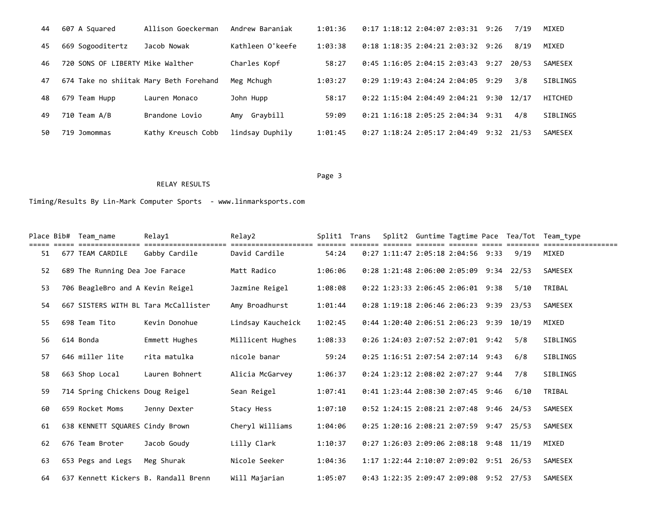| 44 | 607 A Squared                    | Allison Goeckerman                     | Andrew Baraniak  | 1:01:36 | 0:17 1:18:12 2:04:07 2:03:31 9:26   | 7/19          | MIXED           |
|----|----------------------------------|----------------------------------------|------------------|---------|-------------------------------------|---------------|-----------------|
| 45 | 669 Sogooditertz                 | Jacob Nowak                            | Kathleen O'keefe | 1:03:38 | $0:18$ 1:18:35 2:04:21 2:03:32 9:26 | 8/19          | MIXED           |
| 46 | 720 SONS OF LIBERTY Mike Walther |                                        | Charles Kopf     | 58:27   | 0:45 1:16:05 2:04:15 2:03:43        | 20/53<br>9:27 | SAMESEX         |
| 47 |                                  | 674 Take no shiitak Mary Beth Forehand | Meg Mchugh       | 1:03:27 | 0:29 1:19:43 2:04:24 2:04:05        | 3/8<br>9:29   | SIBLINGS        |
| 48 | 679 Team Hupp                    | Lauren Monaco                          | John Hupp        | 58:17   | 0:22 1:15:04 2:04:49 2:04:21        | 9:30<br>12/17 | HITCHED         |
| 49 | $710$ Team $A/B$                 | Brandone Lovio                         | Amy Graybill     | 59:09   | $0:21$ 1:16:18 2:05:25 2:04:34 9:31 | 4/8           | <b>SIBLINGS</b> |
| 50 | 719 Jomommas                     | Kathy Kreusch Cobb                     | lindsay Duphily  | 1:01:45 | 0:27 1:18:24 2:05:17 2:04:49        | $9:32$ 21/53  | SAMESEX         |

Page 3 and the state of the state of the state of the state of the state of the state of the state of the state of the state of the state of the state of the state of the state of the state of the state of the state of the

Timing/Results By Lin-Mark Computer Sports - www.linmarksports.com

RELAY RESULTS

|    | Place Bib# Team name             | Relay1                               | Relay2            | Split1  | Trans |                                           |  |      | Split2 Guntime Tagtime Pace Tea/Tot Team type |
|----|----------------------------------|--------------------------------------|-------------------|---------|-------|-------------------------------------------|--|------|-----------------------------------------------|
| 51 | 677 TEAM CARDILE                 | Gabby Cardile                        | David Cardile     | 54:24   |       | $0:27$ 1:11:47 2:05:18 2:04:56 9:33       |  | 9/19 | MIXED                                         |
| 52 | 689 The Running Dea Joe Farace   |                                      | Matt Radico       | 1:06:06 |       | 0:28 1:21:48 2:06:00 2:05:09 9:34 22/53   |  |      | SAMESEX                                       |
| 53 | 706 BeagleBro and A Kevin Reigel |                                      | Jazmine Reigel    | 1:08:08 |       | 0:22 1:23:33 2:06:45 2:06:01 9:38         |  | 5/10 | TRIBAL                                        |
| 54 |                                  | 667 SISTERS WITH BL Tara McCallister | Amy Broadhurst    | 1:01:44 |       | $0:28$ 1:19:18 2:06:46 2:06:23 9:39 23/53 |  |      | SAMESEX                                       |
| 55 | 698 Team Tito                    | Kevin Donohue                        | Lindsay Kaucheick | 1:02:45 |       | 0:44 1:20:40 2:06:51 2:06:23 9:39 10/19   |  |      | MIXED                                         |
| 56 | 614 Bonda                        | Emmett Hughes                        | Millicent Hughes  | 1:08:33 |       | $0:26$ 1:24:03 2:07:52 2:07:01 9:42       |  | 5/8  | SIBLINGS                                      |
| 57 | 646 miller lite                  | rita matulka                         | nicole banar      | 59:24   |       | $0:25$ 1:16:51 2:07:54 2:07:14 9:43       |  | 6/8  | SIBLINGS                                      |
| 58 | 663 Shop Local                   | Lauren Bohnert                       | Alicia McGarvey   | 1:06:37 |       | 0:24 1:23:12 2:08:02 2:07:27 9:44         |  | 7/8  | SIBLINGS                                      |
| 59 | 714 Spring Chickens Doug Reigel  |                                      | Sean Reigel       | 1:07:41 |       | $0:41$ 1:23:44 2:08:30 2:07:45 9:46       |  | 6/10 | TRIBAL                                        |
| 60 | 659 Rocket Moms                  | Jenny Dexter                         | Stacy Hess        | 1:07:10 |       | 0:52 1:24:15 2:08:21 2:07:48 9:46 24/53   |  |      | SAMESEX                                       |
| 61 | 638 KENNETT SQUARES Cindy Brown  |                                      | Cheryl Williams   | 1:04:06 |       | 0:25 1:20:16 2:08:21 2:07:59 9:47 25/53   |  |      | SAMESEX                                       |
| 62 | 676 Team Broter                  | Jacob Goudy                          | Lilly Clark       | 1:10:37 |       | 0:27 1:26:03 2:09:06 2:08:18 9:48 11/19   |  |      | MIXED                                         |
| 63 | 653 Pegs and Legs                | Meg Shurak                           | Nicole Seeker     | 1:04:36 |       | 1:17 1:22:44 2:10:07 2:09:02 9:51 26/53   |  |      | SAMESEX                                       |
| 64 |                                  | 637 Kennett Kickers B. Randall Brenn | Will Majarian     | 1:05:07 |       | $0:43$ 1:22:35 2:09:47 2:09:08 9:52 27/53 |  |      | SAMESEX                                       |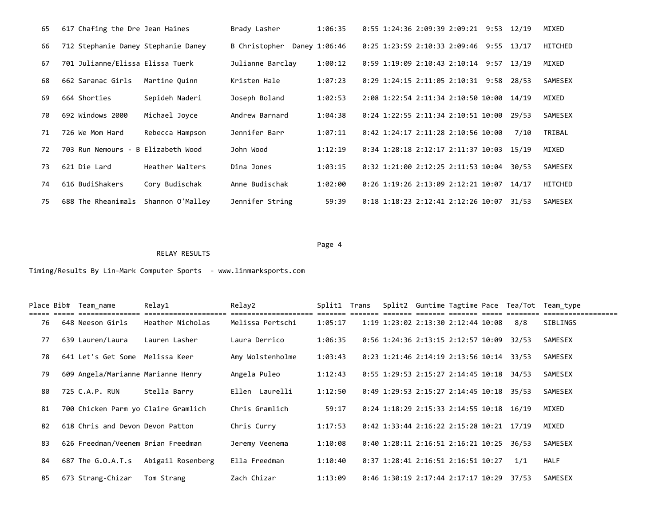| 65 | 617 Chafing the Dre Jean Haines     |                  | Brady Lasher     | 1:06:35       |  | $0:55$ 1:24:36 2:09:39 2:09:21 9:53  | 12/19 | MIXED          |
|----|-------------------------------------|------------------|------------------|---------------|--|--------------------------------------|-------|----------------|
| 66 | 712 Stephanie Daney Stephanie Daney |                  | B Christopher    | Daney 1:06:46 |  | $0:25$ 1:23:59 2:10:33 2:09:46 9:55  | 13/17 | HITCHED        |
| 67 | 701 Julianne/Elissa Elissa Tuerk    |                  | Julianne Barclay | 1:00:12       |  | $0:59$ 1:19:09 2:10:43 2:10:14 9:57  | 13/19 | MIXED          |
| 68 | 662 Saranac Girls                   | Martine Ouinn    | Kristen Hale     | 1:07:23       |  | 0:29 1:24:15 2:11:05 2:10:31 9:58    | 28/53 | <b>SAMESEX</b> |
| 69 | 664 Shorties                        | Sepideh Naderi   | Joseph Boland    | 1:02:53       |  | 2:08 1:22:54 2:11:34 2:10:50 10:00   | 14/19 | MIXED          |
| 70 | 692 Windows 2000                    | Michael Joyce    | Andrew Barnard   | 1:04:38       |  | $0:24$ 1:22:55 2:11:34 2:10:51 10:00 | 29/53 | <b>SAMESEX</b> |
| 71 | 726 We Mom Hard                     | Rebecca Hampson  | Jennifer Barr    | 1:07:11       |  | 0:42 1:24:17 2:11:28 2:10:56 10:00   | 7/10  | TRIBAL         |
| 72 | 703 Run Nemours - B Elizabeth Wood  |                  | John Wood        | 1:12:19       |  | $0:34$ 1:28:18 2:12:17 2:11:37 10:03 | 15/19 | MIXED          |
| 73 | 621 Die Lard                        | Heather Walters  | Dina Jones       | 1:03:15       |  | 0:32 1:21:00 2:12:25 2:11:53 10:04   | 30/53 | <b>SAMESEX</b> |
| 74 | 616 BudiShakers                     | Cory Budischak   | Anne Budischak   | 1:02:00       |  | 0:26 1:19:26 2:13:09 2:12:21 10:07   | 14/17 | HITCHED        |
| 75 | 688 The Rheanimals                  | Shannon O'Malley | Jennifer String  | 59:39         |  | 0:18 1:18:23 2:12:41 2:12:26 10:07   | 31/53 | <b>SAMESEX</b> |

#### Page 4 and the state of the state of the state of the state of the state of the state of the state of the state of the state of the state of the state of the state of the state of the state of the state of the state of the

Timing/Results By Lin-Mark Computer Sports - www.linmarksports.com

RELAY RESULTS

|    | Place Bib# Team name               | Relay1                              | Relay2           | Split1 Trans |  |                                            |  |       | Split2 Guntime Tagtime Pace Tea/Tot Team type |
|----|------------------------------------|-------------------------------------|------------------|--------------|--|--------------------------------------------|--|-------|-----------------------------------------------|
| 76 | 648 Neeson Girls                   | Heather Nicholas                    | Melissa Pertschi | 1:05:17      |  | 1:19 1:23:02 2:13:30 2:12:44 10:08         |  | 8/8   | SIBLINGS                                      |
| 77 | 639 Lauren/Laura                   | Lauren Lasher                       | Laura Derrico    | 1:06:35      |  | 0:56 1:24:36 2:13:15 2:12:57 10:09         |  | 32/53 | SAMESEX                                       |
| 78 | 641 Let's Get Some                 | Melissa Keer                        | Amy Wolstenholme | 1:03:43      |  | 0:23 1:21:46 2:14:19 2:13:56 10:14         |  | 33/53 | SAMESEX                                       |
| 79 | 609 Angela/Marianne Marianne Henry |                                     | Angela Puleo     | 1:12:43      |  | $0:55$ 1:29:53 2:15:27 2:14:45 10:18       |  | 34/53 | SAMESEX                                       |
| 80 | 725 C.A.P. RUN                     | Stella Barry                        | Ellen Laurelli   | 1:12:50      |  | $0:49$ 1:29:53 2:15:27 2:14:45 10:18       |  | 35/53 | SAMESEX                                       |
| 81 |                                    | 700 Chicken Parm yo Claire Gramlich | Chris Gramlich   | 59:17        |  | 0:24 1:18:29 2:15:33 2:14:55 10:18 16/19   |  |       | MIXED                                         |
| 82 | 618 Chris and Devon Devon Patton   |                                     | Chris Curry      | 1:17:53      |  | $0:42$ 1:33:44 2:16:22 2:15:28 10:21 17/19 |  |       | MIXED                                         |
| 83 | 626 Freedman/Veenem Brian Freedman |                                     | Jeremy Veenema   | 1:10:08      |  | 0:40 1:28:11 2:16:51 2:16:21 10:25         |  | 36/53 | SAMESEX                                       |
| 84 | 687 The G.O.A.T.s                  | Abigail Rosenberg                   | Ella Freedman    | 1:10:40      |  | 0:37 1:28:41 2:16:51 2:16:51 10:27         |  | 1/1   | <b>HALF</b>                                   |
| 85 | 673 Strang-Chizar                  | Tom Strang                          | Zach Chizar      | 1:13:09      |  | $0:46$ 1:30:19 2:17:44 2:17:17 10:29       |  | 37/53 | SAMESEX                                       |